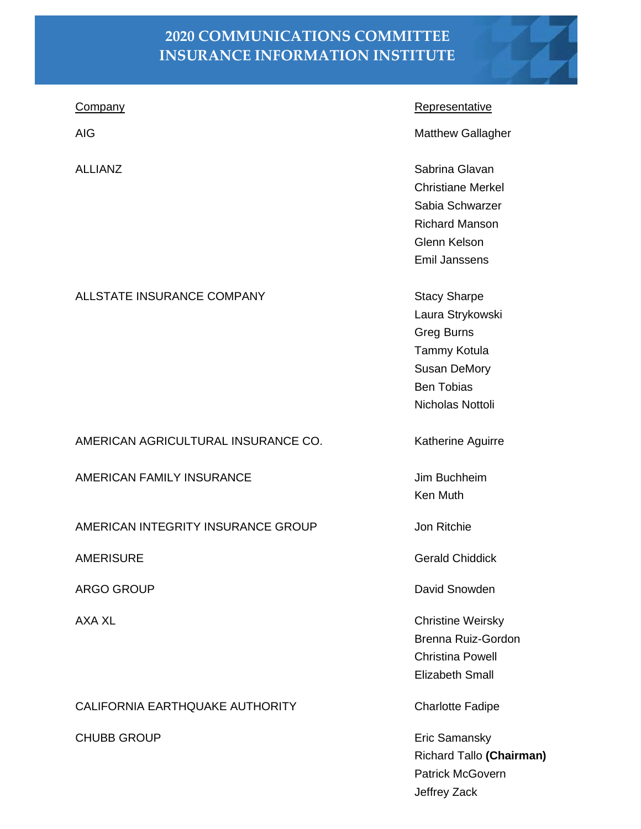## **2020 COMMUNICATIONS COMMITTEE INSURANCE INFORMATION INSTITUTE**

| <b>Company</b>                      | <b>Representative</b>                     |
|-------------------------------------|-------------------------------------------|
| <b>AIG</b>                          | <b>Matthew Gallagher</b>                  |
| <b>ALLIANZ</b>                      | Sabrina Glavan                            |
|                                     | <b>Christiane Merkel</b>                  |
|                                     | Sabia Schwarzer                           |
|                                     | <b>Richard Manson</b><br>Glenn Kelson     |
|                                     | <b>Emil Janssens</b>                      |
|                                     |                                           |
| ALLSTATE INSURANCE COMPANY          | <b>Stacy Sharpe</b>                       |
|                                     | Laura Strykowski                          |
|                                     | <b>Greg Burns</b>                         |
|                                     | <b>Tammy Kotula</b>                       |
|                                     | <b>Susan DeMory</b>                       |
|                                     | <b>Ben Tobias</b>                         |
|                                     | Nicholas Nottoli                          |
| AMERICAN AGRICULTURAL INSURANCE CO. | Katherine Aguirre                         |
| <b>AMERICAN FAMILY INSURANCE</b>    | Jim Buchheim                              |
|                                     | Ken Muth                                  |
|                                     |                                           |
| AMERICAN INTEGRITY INSURANCE GROUP  | Jon Ritchie                               |
| <b>AMERISURE</b>                    | <b>Gerald Chiddick</b>                    |
| ARGO GROUP                          | David Snowden                             |
| <b>AXA XL</b>                       | <b>Christine Weirsky</b>                  |
|                                     | Brenna Ruiz-Gordon                        |
|                                     | <b>Christina Powell</b>                   |
|                                     | <b>Elizabeth Small</b>                    |
| CALIFORNIA EARTHQUAKE AUTHORITY     | <b>Charlotte Fadipe</b>                   |
| <b>CHUBB GROUP</b>                  | Eric Samansky<br>Richard Tallo (Chairman) |

Patrick McGovern Jeffrey Zack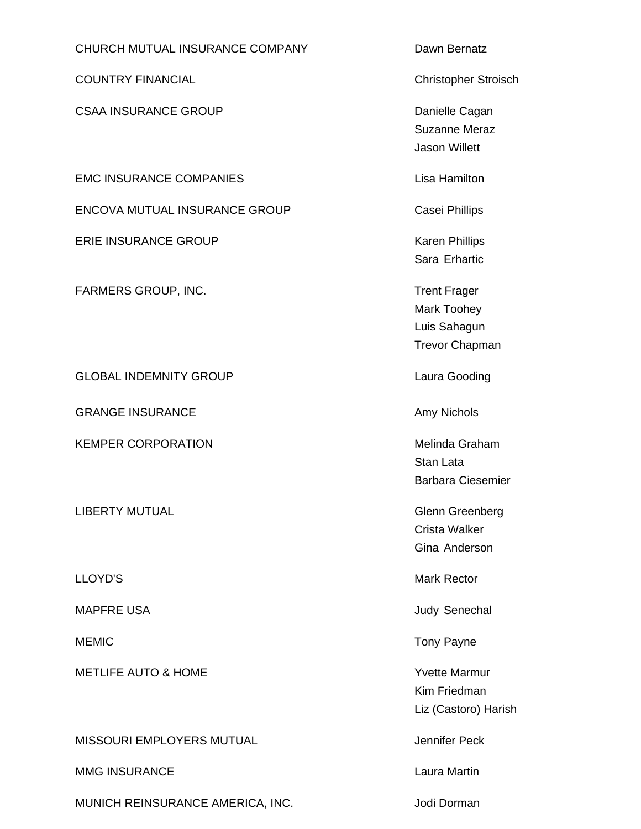## CHURCH MUTUAL INSURANCE COMPANY Dawn Bernatz

COUNTRY FINANCIAL **COUNTRY FINANCIAL COUNTRY** FINANCIAL

CSAA INSURANCE GROUP Danielle Cagan

EMC INSURANCE COMPANIES Lisa Hamilton

ENCOVA MUTUAL INSURANCE GROUP Casei Phillips

ERIE INSURANCE GROUP **Karen Phillips** 

FARMERS GROUP, INC. The matter of the ST and Trent Frager

GLOBAL INDEMNITY GROUP **Laura Gooding** 

GRANGE INSURANCE **Amy Nichols** Amy Nichols

KEMPER CORPORATION **Melinda Graham** 

LIBERTY MUTUAL **Glenn** Greenberg

METLIFE AUTO & HOME YVE THE YVE ALL THE MATHEMATIC VECTOR WAS A VEHICLE TO A VEHICLE THE VECTOR OF THE VECTOR O

MISSOURI EMPLOYERS MUTUAL **All and the Contract Contract Contract Contract Contract Contract Contract Contract Contract Contract On the MISSOURI EMPLOYERS MUTUAL** 

MMG INSURANCE **Laura Martin** 

MUNICH REINSURANCE AMERICA, INC. **Inc.** Jodi Dorman

Suzanne Meraz Jason Willett

Sara Erhartic

Mark Toohey Luis Sahagun Trevor Chapman

Stan Lata Barbara Ciesemier

Crista Walker Gina Anderson

LLOYD'S Mark Rector

MAPFRE USA **MAPFRE** USA

MEMIC **Tony Payne** 

Kim Friedman Liz (Castoro) Harish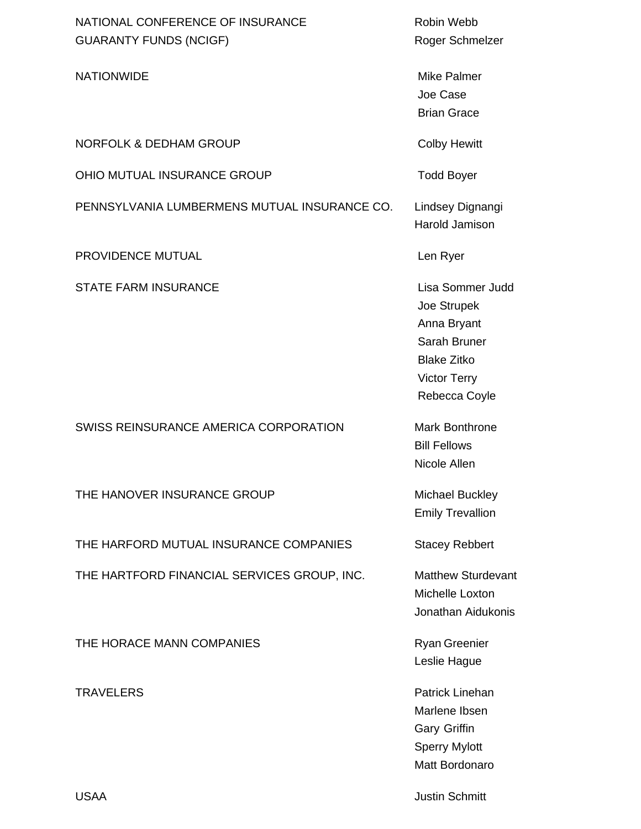| NATIONAL CONFERENCE OF INSURANCE<br><b>GUARANTY FUNDS (NCIGF)</b> | Robin Webb<br>Roger Schmelzer                                                                                                |
|-------------------------------------------------------------------|------------------------------------------------------------------------------------------------------------------------------|
| <b>NATIONWIDE</b>                                                 | <b>Mike Palmer</b><br>Joe Case<br><b>Brian Grace</b>                                                                         |
| <b>NORFOLK &amp; DEDHAM GROUP</b>                                 | <b>Colby Hewitt</b>                                                                                                          |
| OHIO MUTUAL INSURANCE GROUP                                       | <b>Todd Boyer</b>                                                                                                            |
| PENNSYLVANIA LUMBERMENS MUTUAL INSURANCE CO.                      | Lindsey Dignangi<br>Harold Jamison                                                                                           |
| PROVIDENCE MUTUAL                                                 | Len Ryer                                                                                                                     |
| <b>STATE FARM INSURANCE</b>                                       | Lisa Sommer Judd<br>Joe Strupek<br>Anna Bryant<br>Sarah Bruner<br><b>Blake Zitko</b><br><b>Victor Terry</b><br>Rebecca Coyle |
| SWISS REINSURANCE AMERICA CORPORATION                             | Mark Bonthrone<br><b>Bill Fellows</b><br>Nicole Allen                                                                        |
| THE HANOVER INSURANCE GROUP                                       | Michael Buckley<br><b>Emily Trevallion</b>                                                                                   |
| THE HARFORD MUTUAL INSURANCE COMPANIES                            | <b>Stacey Rebbert</b>                                                                                                        |
| THE HARTFORD FINANCIAL SERVICES GROUP, INC.                       | <b>Matthew Sturdevant</b><br>Michelle Loxton<br>Jonathan Aidukonis                                                           |
| THE HORACE MANN COMPANIES                                         | <b>Ryan Greenier</b><br>Leslie Hague                                                                                         |
| <b>TRAVELERS</b>                                                  | Patrick Linehan<br>Marlene Ibsen<br><b>Gary Griffin</b><br><b>Sperry Mylott</b>                                              |

USAA Justin Schmitt

Matt Bordonaro